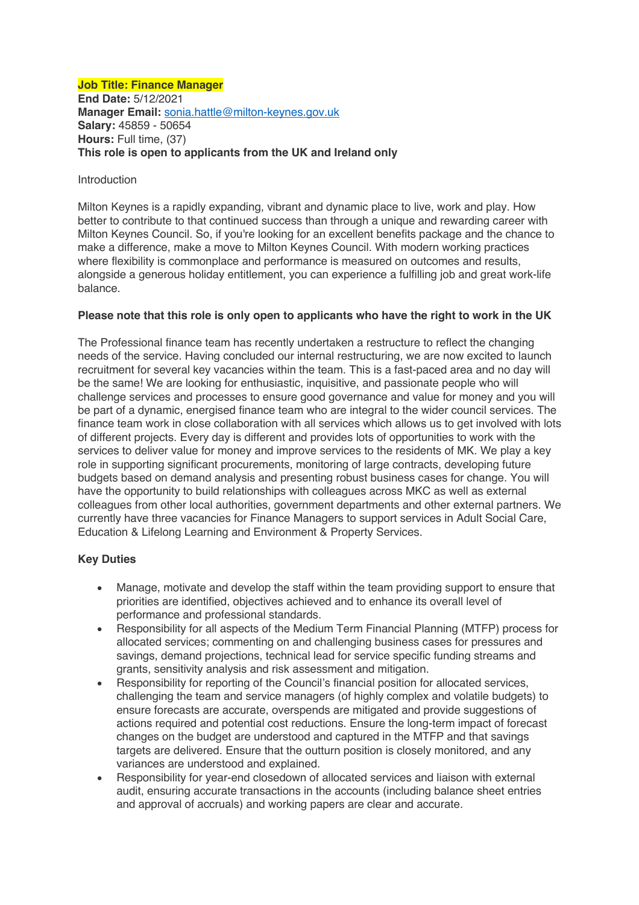#### **Job Title: Finance Manager End Date:** 5/12/2021 **Manager Email:** sonia.hattle@milton-keynes.gov.uk **Salary:** 45859 - 50654 **Hours:** Full time, (37) **This role is open to applicants from the UK and Ireland only**

#### Introduction

Milton Keynes is a rapidly expanding, vibrant and dynamic place to live, work and play. How better to contribute to that continued success than through a unique and rewarding career with Milton Keynes Council. So, if you're looking for an excellent benefits package and the chance to make a difference, make a move to Milton Keynes Council. With modern working practices where flexibility is commonplace and performance is measured on outcomes and results, alongside a generous holiday entitlement, you can experience a fulfilling job and great work-life balance.

### **Please note that this role is only open to applicants who have the right to work in the UK**

The Professional finance team has recently undertaken a restructure to reflect the changing needs of the service. Having concluded our internal restructuring, we are now excited to launch recruitment for several key vacancies within the team. This is a fast-paced area and no day will be the same! We are looking for enthusiastic, inquisitive, and passionate people who will challenge services and processes to ensure good governance and value for money and you will be part of a dynamic, energised finance team who are integral to the wider council services. The finance team work in close collaboration with all services which allows us to get involved with lots of different projects. Every day is different and provides lots of opportunities to work with the services to deliver value for money and improve services to the residents of MK. We play a key role in supporting significant procurements, monitoring of large contracts, developing future budgets based on demand analysis and presenting robust business cases for change. You will have the opportunity to build relationships with colleagues across MKC as well as external colleagues from other local authorities, government departments and other external partners. We currently have three vacancies for Finance Managers to support services in Adult Social Care, Education & Lifelong Learning and Environment & Property Services.

### **Key Duties**

- Manage, motivate and develop the staff within the team providing support to ensure that priorities are identified, objectives achieved and to enhance its overall level of performance and professional standards.
- Responsibility for all aspects of the Medium Term Financial Planning (MTFP) process for allocated services; commenting on and challenging business cases for pressures and savings, demand projections, technical lead for service specific funding streams and grants, sensitivity analysis and risk assessment and mitigation.
- Responsibility for reporting of the Council's financial position for allocated services, challenging the team and service managers (of highly complex and volatile budgets) to ensure forecasts are accurate, overspends are mitigated and provide suggestions of actions required and potential cost reductions. Ensure the long-term impact of forecast changes on the budget are understood and captured in the MTFP and that savings targets are delivered. Ensure that the outturn position is closely monitored, and any variances are understood and explained.
- Responsibility for year-end closedown of allocated services and liaison with external audit, ensuring accurate transactions in the accounts (including balance sheet entries and approval of accruals) and working papers are clear and accurate.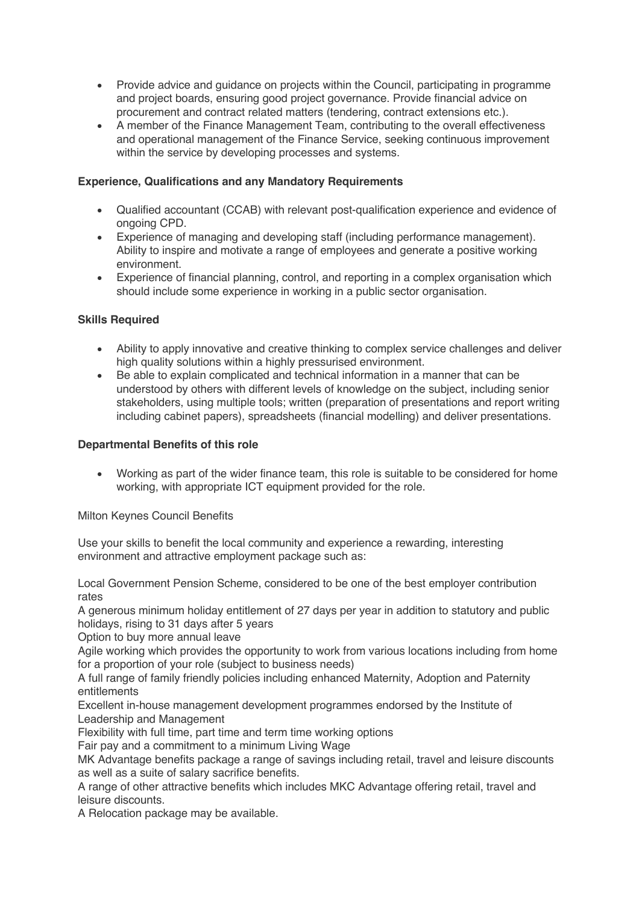- Provide advice and quidance on projects within the Council, participating in programme and project boards, ensuring good project governance. Provide financial advice on procurement and contract related matters (tendering, contract extensions etc.).
- A member of the Finance Management Team, contributing to the overall effectiveness and operational management of the Finance Service, seeking continuous improvement within the service by developing processes and systems.

## **Experience, Qualifications and any Mandatory Requirements**

- Qualified accountant (CCAB) with relevant post-qualification experience and evidence of ongoing CPD.
- Experience of managing and developing staff (including performance management). Ability to inspire and motivate a range of employees and generate a positive working environment.
- Experience of financial planning, control, and reporting in a complex organisation which should include some experience in working in a public sector organisation.

# **Skills Required**

- Ability to apply innovative and creative thinking to complex service challenges and deliver high quality solutions within a highly pressurised environment.
- Be able to explain complicated and technical information in a manner that can be understood by others with different levels of knowledge on the subject, including senior stakeholders, using multiple tools; written (preparation of presentations and report writing including cabinet papers), spreadsheets (financial modelling) and deliver presentations.

### **Departmental Benefits of this role**

• Working as part of the wider finance team, this role is suitable to be considered for home working, with appropriate ICT equipment provided for the role.

Milton Keynes Council Benefits

Use your skills to benefit the local community and experience a rewarding, interesting environment and attractive employment package such as:

Local Government Pension Scheme, considered to be one of the best employer contribution rates

A generous minimum holiday entitlement of 27 days per year in addition to statutory and public holidays, rising to 31 days after 5 years

Option to buy more annual leave

Agile working which provides the opportunity to work from various locations including from home for a proportion of your role (subject to business needs)

A full range of family friendly policies including enhanced Maternity, Adoption and Paternity entitlements

Excellent in-house management development programmes endorsed by the Institute of Leadership and Management

Flexibility with full time, part time and term time working options

Fair pay and a commitment to a minimum Living Wage

MK Advantage benefits package a range of savings including retail, travel and leisure discounts as well as a suite of salary sacrifice benefits.

A range of other attractive benefits which includes MKC Advantage offering retail, travel and leisure discounts.

A Relocation package may be available.